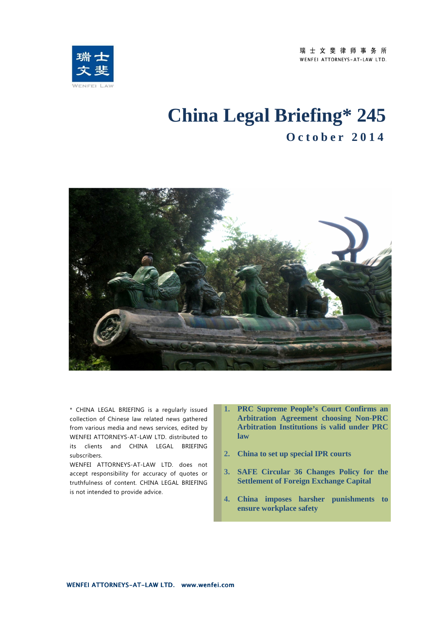瑞士文斐律师事务所 WENFEI ATTORNEYS-AT-LAW LTD.



# **China Legal Briefing\* 245 O c t o b e r 2 0 1 4**



\* CHINA LEGAL BRIEFING is a regularly issued collection of Chinese law related news gathered from various media and news services, edited by WENFEI ATTORNEYS-AT-LAW LTD. distributed to its clients and CHINA LEGAL BRIEFING subscribers.

WENFEI ATTORNEYS-AT-LAW LTD. does not accept responsibility for accuracy of quotes or truthfulness of content. CHINA LEGAL BRIEFING is not intended to provide advice.

- **1. PRC Supreme People's Court Confirms an Arbitration Agreement choosing Non-PRC Arbitration Institutions is valid under PRC law**
- **2. China to set up special IPR courts**
- **3. SAFE Circular 36 Changes Policy for the Settlement of Foreign Exchange Capital**
- **4. China imposes harsher punishments to ensure workplace safety**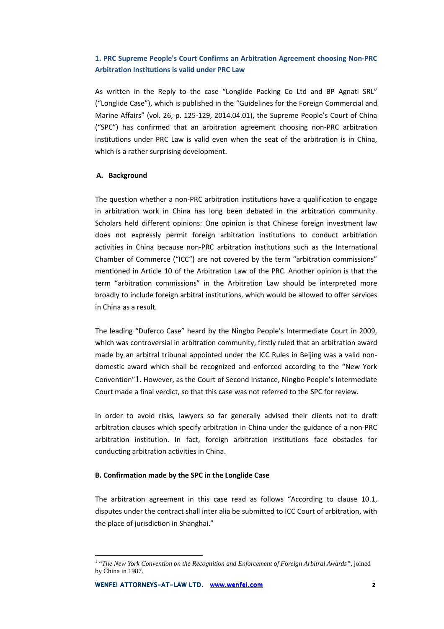# **1. PRC Supreme People's Court Confirms an Arbitration Agreement choosing Non-PRC Arbitration Institutions is valid under PRC Law**

As written in the Reply to the case "Longlide Packing Co Ltd and BP Agnati SRL" ("Longlide Case"), which is published in the "Guidelines for the Foreign Commercial and Marine Affairs" (vol. 26, p. 125-129, 2014.04.01), the Supreme People's Court of China ("SPC") has confirmed that an arbitration agreement choosing non-PRC arbitration institutions under PRC Law is valid even when the seat of the arbitration is in China, which is a rather surprising development.

# **A. Background**

The question whether a non-PRC arbitration institutions have a qualification to engage in arbitration work in China has long been debated in the arbitration community. Scholars held different opinions: One opinion is that Chinese foreign investment law does not expressly permit foreign arbitration institutions to conduct arbitration activities in China because non-PRC arbitration institutions such as the International Chamber of Commerce ("ICC") are not covered by the term "arbitration commissions" mentioned in Article 10 of the Arbitration Law of the PRC. Another opinion is that the term "arbitration commissions" in the Arbitration Law should be interpreted more broadly to include foreign arbitral institutions, which would be allowed to offer services in China as a result.

The leading "Duferco Case" heard by the Ningbo People's Intermediate Court in 2009, which was controversial in arbitration community, firstly ruled that an arbitration award made by an arbitral tribunal appointed under the ICC Rules in Beijing was a valid nondomestic award which shall be recognized and enforced according to the "New York Convention"1. However, as the Court of Second Instance, Ningbo People's Intermediate Court made a final verdict, so that this case was not referred to the SPC for review.

In order to avoid risks, lawyers so far generally advised their clients not to draft arbitration clauses which specify arbitration in China under the guidance of a non-PRC arbitration institution. In fact, foreign arbitration institutions face obstacles for conducting arbitration activities in China.

#### **B. Confirmation made by the SPC in the Longlide Case**

The arbitration agreement in this case read as follows "According to clause 10.1, disputes under the contract shall inter alia be submitted to ICC Court of arbitration, with the place of jurisdiction in Shanghai."

 $\overline{a}$ 

<sup>&</sup>lt;sup>1</sup> "The New York Convention on the Recognition and Enforcement of Foreign Arbitral Awards", joined by China in 1987.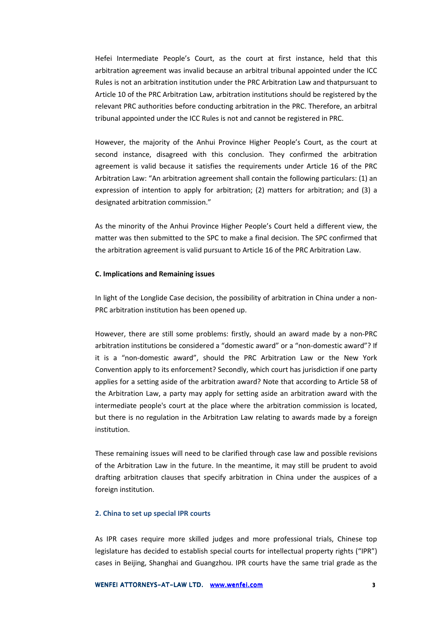Hefei Intermediate People's Court, as the court at first instance, held that this arbitration agreement was invalid because an arbitral tribunal appointed under the ICC Rules is not an arbitration institution under the PRC Arbitration Law and thatpursuant to Article 10 of the PRC Arbitration Law, arbitration institutions should be registered by the relevant PRC authorities before conducting arbitration in the PRC. Therefore, an arbitral tribunal appointed under the ICC Rules is not and cannot be registered in PRC.

However, the majority of the Anhui Province Higher People's Court, as the court at second instance, disagreed with this conclusion. They confirmed the arbitration agreement is valid because it satisfies the requirements under Article 16 of the PRC Arbitration Law: "An arbitration agreement shall contain the following particulars: (1) an expression of intention to apply for arbitration; (2) matters for arbitration; and (3) a designated arbitration commission."

As the minority of the Anhui Province Higher People's Court held a different view, the matter was then submitted to the SPC to make a final decision. The SPC confirmed that the arbitration agreement is valid pursuant to Article 16 of the PRC Arbitration Law.

#### **C. Implications and Remaining issues**

In light of the Longlide Case decision, the possibility of arbitration in China under a non-PRC arbitration institution has been opened up.

However, there are still some problems: firstly, should an award made by a non-PRC arbitration institutions be considered a "domestic award" or a "non-domestic award"? If it is a "non-domestic award", should the PRC Arbitration Law or the New York Convention apply to its enforcement? Secondly, which court has jurisdiction if one party applies for a setting aside of the arbitration award? Note that according to Article 58 of the Arbitration Law, a party may apply for setting aside an arbitration award with the intermediate people's court at the place where the arbitration commission is located, but there is no regulation in the Arbitration Law relating to awards made by a foreign institution.

These remaining issues will need to be clarified through case law and possible revisions of the Arbitration Law in the future. In the meantime, it may still be prudent to avoid drafting arbitration clauses that specify arbitration in China under the auspices of a foreign institution.

#### **2. China to set up special IPR courts**

As IPR cases require more skilled judges and more professional trials, Chinese top legislature has decided to establish special courts for intellectual property rights ("IPR") cases in Beijing, Shanghai and Guangzhou. IPR courts have the same trial grade as the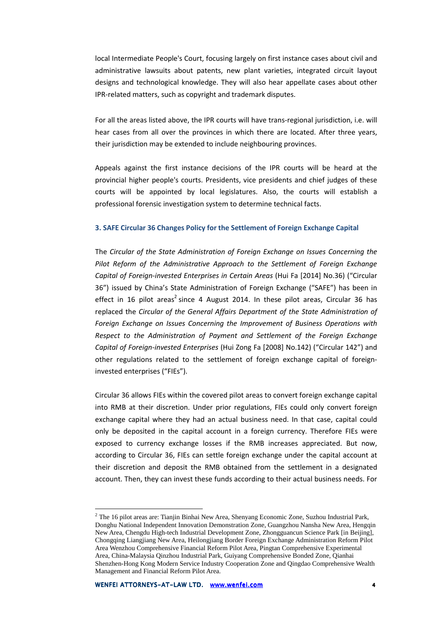local Intermediate People's Court, focusing largely on first instance cases about civil and administrative lawsuits about patents, new plant varieties, integrated circuit layout designs and technological knowledge. They will also hear appellate cases about other IPR-related matters, such as copyright and trademark disputes.

For all the areas listed above, the IPR courts will have trans-regional jurisdiction, i.e. will hear cases from all over the provinces in which there are located. After three years, their jurisdiction may be extended to include neighbouring provinces.

Appeals against the first instance decisions of the IPR courts will be heard at the provincial higher people's courts. Presidents, vice presidents and chief judges of these courts will be appointed by local legislatures. Also, the courts will establish a professional forensic investigation system to determine technical facts.

## **3. SAFE Circular 36 Changes Policy for the Settlement of Foreign Exchange Capital**

The *Circular of the State Administration of Foreign Exchange on Issues Concerning the Pilot Reform of the Administrative Approach to the Settlement of Foreign Exchange Capital of Foreign-invested Enterprises in Certain Areas* (Hui Fa [2014] No.36) ("Circular 36") issued by China's State Administration of Foreign Exchange ("SAFE") has been in effect in 16 pilot areas<sup>2</sup> since 4 August 2014. In these pilot areas, Circular 36 has replaced the *Circular of the General Affairs Department of the State Administration of Foreign Exchange on Issues Concerning the Improvement of Business Operations with Respect to the Administration of Payment and Settlement of the Foreign Exchange Capital of Foreign-invested Enterprises* (Hui Zong Fa [2008] No.142) ("Circular 142") and other regulations related to the settlement of foreign exchange capital of foreigninvested enterprises ("FIEs").

Circular 36 allows FIEs within the covered pilot areas to convert foreign exchange capital into RMB at their discretion. Under prior regulations, FIEs could only convert foreign exchange capital where they had an actual business need. In that case, capital could only be deposited in the capital account in a foreign currency. Therefore FIEs were exposed to currency exchange losses if the RMB increases appreciated. But now, according to Circular 36, FIEs can settle foreign exchange under the capital account at their discretion and deposit the RMB obtained from the settlement in a designated account. Then, they can invest these funds according to their actual business needs. For

 $\overline{a}$ 

 $2$  The 16 pilot areas are: Tianjin Binhai New Area, Shenyang Economic Zone, Suzhou Industrial Park, Donghu National Independent Innovation Demonstration Zone, Guangzhou Nansha New Area, Hengqin New Area, Chengdu High-tech Industrial Development Zone, Zhongguancun Science Park [in Beijing], Chongqing Liangjiang New Area, Heilongjiang Border Foreign Exchange Administration Reform Pilot Area Wenzhou Comprehensive Financial Reform Pilot Area, Pingtan Comprehensive Experimental Area, China-Malaysia Qinzhou Industrial Park, Guiyang Comprehensive Bonded Zone, Qianhai Shenzhen-Hong Kong Modern Service Industry Cooperation Zone and Qingdao Comprehensive Wealth Management and Financial Reform Pilot Area.